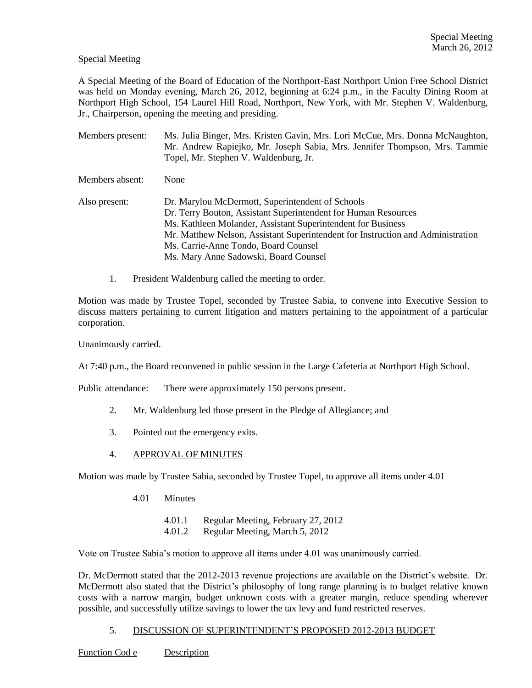# Special Meeting

A Special Meeting of the Board of Education of the Northport-East Northport Union Free School District was held on Monday evening, March 26, 2012, beginning at 6:24 p.m., in the Faculty Dining Room at Northport High School, 154 Laurel Hill Road, Northport, New York, with Mr. Stephen V. Waldenburg, Jr., Chairperson, opening the meeting and presiding.

Members present: Ms. Julia Binger, Mrs. Kristen Gavin, Mrs. Lori McCue, Mrs. Donna McNaughton, Mr. Andrew Rapiejko, Mr. Joseph Sabia, Mrs. Jennifer Thompson, Mrs. Tammie Topel, Mr. Stephen V. Waldenburg, Jr. Members absent: None Also present: Dr. Marylou McDermott, Superintendent of Schools Dr. Terry Bouton, Assistant Superintendent for Human Resources Ms. Kathleen Molander, Assistant Superintendent for Business Mr. Matthew Nelson, Assistant Superintendent for Instruction and Administration Ms. Carrie-Anne Tondo, Board Counsel Ms. Mary Anne Sadowski, Board Counsel

1. President Waldenburg called the meeting to order.

Motion was made by Trustee Topel, seconded by Trustee Sabia, to convene into Executive Session to discuss matters pertaining to current litigation and matters pertaining to the appointment of a particular corporation.

Unanimously carried.

At 7:40 p.m., the Board reconvened in public session in the Large Cafeteria at Northport High School.

Public attendance: There were approximately 150 persons present.

- 2. Mr. Waldenburg led those present in the Pledge of Allegiance; and
- 3. Pointed out the emergency exits.
- 4. APPROVAL OF MINUTES

Motion was made by Trustee Sabia, seconded by Trustee Topel, to approve all items under 4.01

- 4.01 Minutes
	- 4.01.1 Regular Meeting, February 27, 2012
	- 4.01.2 Regular Meeting, March 5, 2012

Vote on Trustee Sabia's motion to approve all items under 4.01 was unanimously carried.

Dr. McDermott stated that the 2012-2013 revenue projections are available on the District's website. Dr. McDermott also stated that the District's philosophy of long range planning is to budget relative known costs with a narrow margin, budget unknown costs with a greater margin, reduce spending wherever possible, and successfully utilize savings to lower the tax levy and fund restricted reserves.

# 5. DISCUSSION OF SUPERINTENDENT'S PROPOSED 2012-2013 BUDGET

Function Cod e Description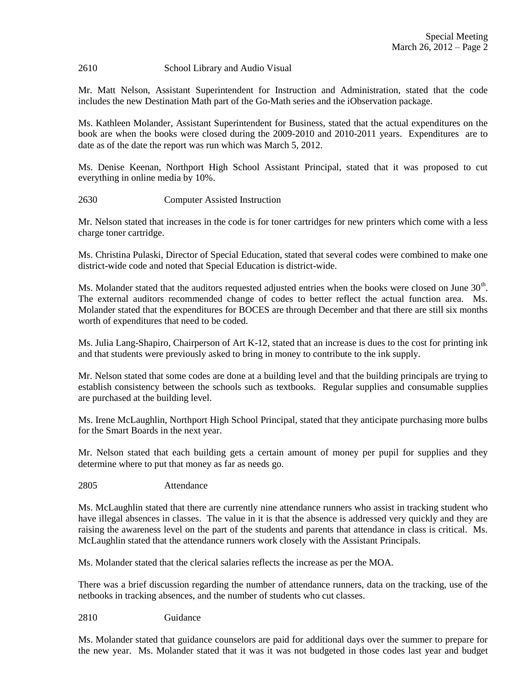### 2610 School Library and Audio Visual

Mr. Matt Nelson, Assistant Superintendent for Instruction and Administration, stated that the code includes the new Destination Math part of the Go-Math series and the iObservation package.

Ms. Kathleen Molander, Assistant Superintendent for Business, stated that the actual expenditures on the book are when the books were closed during the 2009-2010 and 2010-2011 years. Expenditures are to date as of the date the report was run which was March 5, 2012.

Ms. Denise Keenan, Northport High School Assistant Principal, stated that it was proposed to cut everything in online media by 10%.

2630 Computer Assisted Instruction

Mr. Nelson stated that increases in the code is for toner cartridges for new printers which come with a less charge toner cartridge.

Ms. Christina Pulaski, Director of Special Education, stated that several codes were combined to make one district-wide code and noted that Special Education is district-wide.

Ms. Molander stated that the auditors requested adjusted entries when the books were closed on June  $30<sup>th</sup>$ . The external auditors recommended change of codes to better reflect the actual function area. Ms. Molander stated that the expenditures for BOCES are through December and that there are still six months worth of expenditures that need to be coded.

Ms. Julia Lang-Shapiro, Chairperson of Art K-12, stated that an increase is dues to the cost for printing ink and that students were previously asked to bring in money to contribute to the ink supply.

Mr. Nelson stated that some codes are done at a building level and that the building principals are trying to establish consistency between the schools such as textbooks. Regular supplies and consumable supplies are purchased at the building level.

Ms. Irene McLaughlin, Northport High School Principal, stated that they anticipate purchasing more bulbs for the Smart Boards in the next year.

Mr. Nelson stated that each building gets a certain amount of money per pupil for supplies and they determine where to put that money as far as needs go.

2805 Attendance

Ms. McLaughlin stated that there are currently nine attendance runners who assist in tracking student who have illegal absences in classes. The value in it is that the absence is addressed very quickly and they are raising the awareness level on the part of the students and parents that attendance in class is critical. Ms. McLaughlin stated that the attendance runners work closely with the Assistant Principals.

Ms. Molander stated that the clerical salaries reflects the increase as per the MOA.

There was a brief discussion regarding the number of attendance runners, data on the tracking, use of the netbooks in tracking absences, and the number of students who cut classes.

2810 Guidance

Ms. Molander stated that guidance counselors are paid for additional days over the summer to prepare for the new year. Ms. Molander stated that it was it was not budgeted in those codes last year and budget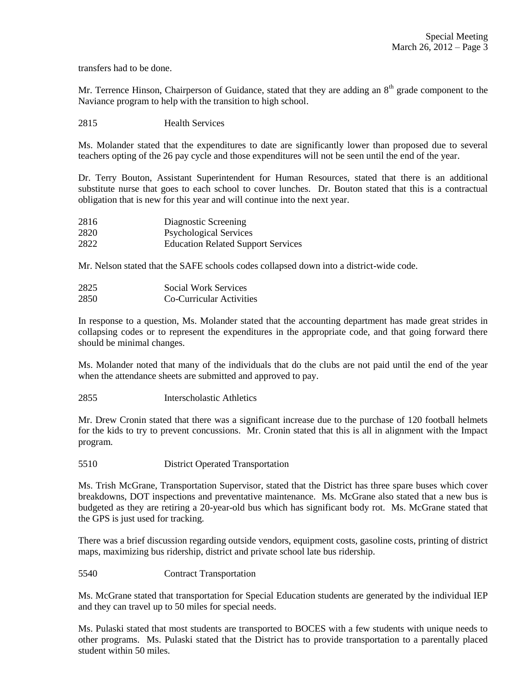transfers had to be done.

Mr. Terrence Hinson, Chairperson of Guidance, stated that they are adding an  $8<sup>th</sup>$  grade component to the Naviance program to help with the transition to high school.

2815 Health Services

Ms. Molander stated that the expenditures to date are significantly lower than proposed due to several teachers opting of the 26 pay cycle and those expenditures will not be seen until the end of the year.

Dr. Terry Bouton, Assistant Superintendent for Human Resources, stated that there is an additional substitute nurse that goes to each school to cover lunches. Dr. Bouton stated that this is a contractual obligation that is new for this year and will continue into the next year.

| 2816 | Diagnostic Screening                      |
|------|-------------------------------------------|
| 2820 | <b>Psychological Services</b>             |
| 2822 | <b>Education Related Support Services</b> |

Mr. Nelson stated that the SAFE schools codes collapsed down into a district-wide code.

| 2825 | Social Work Services     |
|------|--------------------------|
| 2850 | Co-Curricular Activities |

In response to a question, Ms. Molander stated that the accounting department has made great strides in collapsing codes or to represent the expenditures in the appropriate code, and that going forward there should be minimal changes.

Ms. Molander noted that many of the individuals that do the clubs are not paid until the end of the year when the attendance sheets are submitted and approved to pay.

2855 Interscholastic Athletics

Mr. Drew Cronin stated that there was a significant increase due to the purchase of 120 football helmets for the kids to try to prevent concussions. Mr. Cronin stated that this is all in alignment with the Impact program.

5510 District Operated Transportation

Ms. Trish McGrane, Transportation Supervisor, stated that the District has three spare buses which cover breakdowns, DOT inspections and preventative maintenance. Ms. McGrane also stated that a new bus is budgeted as they are retiring a 20-year-old bus which has significant body rot. Ms. McGrane stated that the GPS is just used for tracking.

There was a brief discussion regarding outside vendors, equipment costs, gasoline costs, printing of district maps, maximizing bus ridership, district and private school late bus ridership.

5540 Contract Transportation

Ms. McGrane stated that transportation for Special Education students are generated by the individual IEP and they can travel up to 50 miles for special needs.

Ms. Pulaski stated that most students are transported to BOCES with a few students with unique needs to other programs. Ms. Pulaski stated that the District has to provide transportation to a parentally placed student within 50 miles.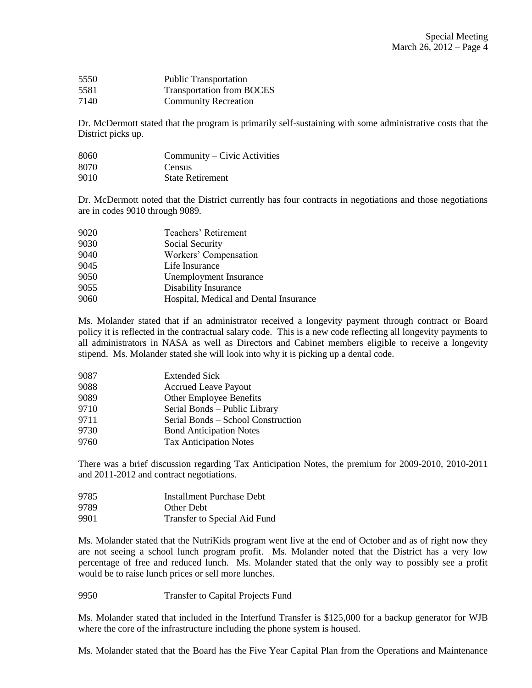| 5550 | <b>Public Transportation</b>     |
|------|----------------------------------|
| 5581 | <b>Transportation from BOCES</b> |
| 7140 | <b>Community Recreation</b>      |

Dr. McDermott stated that the program is primarily self-sustaining with some administrative costs that the District picks up.

| 8060  | Community – Civic Activities |
|-------|------------------------------|
| 8070  | Census                       |
| 0.010 | <u>.</u>                     |

9010 State Retirement

Dr. McDermott noted that the District currently has four contracts in negotiations and those negotiations are in codes 9010 through 9089.

| 9020 | Teachers' Retirement                   |
|------|----------------------------------------|
| 9030 | Social Security                        |
| 9040 | Workers' Compensation                  |
| 9045 | Life Insurance                         |
| 9050 | Unemployment Insurance                 |
| 9055 | Disability Insurance                   |
| 9060 | Hospital, Medical and Dental Insurance |
|      |                                        |

Ms. Molander stated that if an administrator received a longevity payment through contract or Board policy it is reflected in the contractual salary code. This is a new code reflecting all longevity payments to all administrators in NASA as well as Directors and Cabinet members eligible to receive a longevity stipend. Ms. Molander stated she will look into why it is picking up a dental code.

| 9087 | <b>Extended Sick</b>               |
|------|------------------------------------|
| 9088 | <b>Accrued Leave Payout</b>        |
| 9089 | <b>Other Employee Benefits</b>     |
| 9710 | Serial Bonds - Public Library      |
| 9711 | Serial Bonds – School Construction |
| 9730 | <b>Bond Anticipation Notes</b>     |
| 9760 | <b>Tax Anticipation Notes</b>      |
|      |                                    |

There was a brief discussion regarding Tax Anticipation Notes, the premium for 2009-2010, 2010-2011 and 2011-2012 and contract negotiations.

| 9785  | <b>Installment Purchase Debt</b> |
|-------|----------------------------------|
| 9789. | <b>Other Debt</b>                |
| 9901  | Transfer to Special Aid Fund     |

Ms. Molander stated that the NutriKids program went live at the end of October and as of right now they are not seeing a school lunch program profit. Ms. Molander noted that the District has a very low percentage of free and reduced lunch. Ms. Molander stated that the only way to possibly see a profit would be to raise lunch prices or sell more lunches.

9950 Transfer to Capital Projects Fund

Ms. Molander stated that included in the Interfund Transfer is \$125,000 for a backup generator for WJB where the core of the infrastructure including the phone system is housed.

Ms. Molander stated that the Board has the Five Year Capital Plan from the Operations and Maintenance